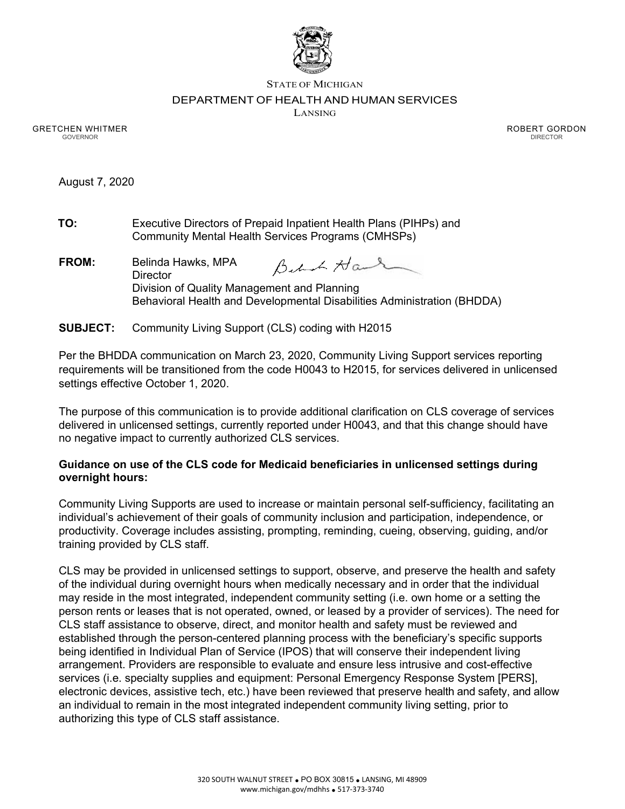

STATE OF MICHIGAN

## DEPARTMENT OF HEALTH AND HUMAN SERVICES

LANSING

GRETCHEN WHITMER GOVERNOR

ROBERT GORDON DIRECTOR

August 7, 2020

| TO: | Executive Directors of Prepaid Inpatient Health Plans (PIHPs) and |
|-----|-------------------------------------------------------------------|
|     | Community Mental Health Services Programs (CMHSPs)                |

- **FROM:** Belinda Hawks, MPA Behot Hand **Director** Division of Quality Management and Planning Behavioral Health and Developmental Disabilities Administration (BHDDA)
- **SUBJECT:** Community Living Support (CLS) coding with H2015

Per the BHDDA communication on March 23, 2020, Community Living Support services reporting requirements will be transitioned from the code H0043 to H2015, for services delivered in unlicensed settings effective October 1, 2020.

The purpose of this communication is to provide additional clarification on CLS coverage of services delivered in unlicensed settings, currently reported under H0043, and that this change should have no negative impact to currently authorized CLS services.

## **Guidance on use of the CLS code for Medicaid beneficiaries in unlicensed settings during overnight hours:**

Community Living Supports are used to increase or maintain personal self-sufficiency, facilitating an individual's achievement of their goals of community inclusion and participation, independence, or productivity. Coverage includes assisting, prompting, reminding, cueing, observing, guiding, and/or training provided by CLS staff.

CLS may be provided in unlicensed settings to support, observe, and preserve the health and safety of the individual during overnight hours when medically necessary and in order that the individual may reside in the most integrated, independent community setting (i.e. own home or a setting the person rents or leases that is not operated, owned, or leased by a provider of services). The need for CLS staff assistance to observe, direct, and monitor health and safety must be reviewed and established through the person-centered planning process with the beneficiary's specific supports being identified in Individual Plan of Service (IPOS) that will conserve their independent living arrangement. Providers are responsible to evaluate and ensure less intrusive and cost-effective services (i.e. specialty supplies and equipment: Personal Emergency Response System [PERS], electronic devices, assistive tech, etc.) have been reviewed that preserve health and safety, and allow an individual to remain in the most integrated independent community living setting, prior to authorizing this type of CLS staff assistance.